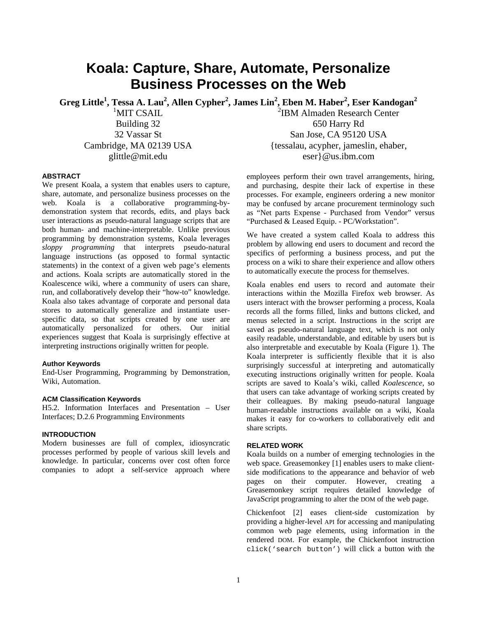# **Koala: Capture, Share, Automate, Personalize Business Processes on the Web**

**Greg Little1 , Tessa A. Lau<sup>2</sup> , Allen Cypher<sup>2</sup> , James Lin2 , Eben M. Haber<sup>2</sup> , Eser Kandogan2**

<sup>1</sup>MIT CSAIL Building 32 32 Vassar St Cambridge, MA 02139 USA glittle@mit.edu

<sup>2</sup>IBM Almaden Research Center 650 Harry Rd San Jose, CA 95120 USA {tessalau, acypher, jameslin, ehaber, eser}@us.ibm.com

## **ABSTRACT**

We present Koala, a system that enables users to capture, share, automate, and personalize business processes on the web. Koala is a collaborative programming-bydemonstration system that records, edits, and plays back user interactions as pseudo-natural language scripts that are both human- and machine-interpretable. Unlike previous programming by demonstration systems, Koala leverages *sloppy programming* that interprets pseudo-natural language instructions (as opposed to formal syntactic statements) in the context of a given web page's elements and actions. Koala scripts are automatically stored in the Koalescence wiki, where a community of users can share, run, and collaboratively develop their "how-to" knowledge. Koala also takes advantage of corporate and personal data stores to automatically generalize and instantiate userspecific data, so that scripts created by one user are automatically personalized for others. Our initial experiences suggest that Koala is surprisingly effective at interpreting instructions originally written for people.

#### **Author Keywords**

End-User Programming, Programming by Demonstration, Wiki, Automation.

#### **ACM Classification Keywords**

H5.2. Information Interfaces and Presentation – User Interfaces; D.2.6 Programming Environments

# **INTRODUCTION**

Modern businesses are full of complex, idiosyncratic processes performed by people of various skill levels and knowledge. In particular, concerns over cost often force companies to adopt a self-service approach where

employees perform their own travel arrangements, hiring, and purchasing, despite their lack of expertise in these processes. For example, engineers ordering a new monitor may be confused by arcane procurement terminology such as "Net parts Expense - Purchased from Vendor" versus "Purchased & Leased Equip. - PC/Workstation".

We have created a system called Koala to address this problem by allowing end users to document and record the specifics of performing a business process, and put the process on a wiki to share their experience and allow others to automatically execute the process for themselves.

Koala enables end users to record and automate their interactions within the Mozilla Firefox web browser. As users interact with the browser performing a process, Koala records all the forms filled, links and buttons clicked, and menus selected in a script. Instructions in the script are saved as pseudo-natural language text, which is not only easily readable, understandable, and editable by users but is also interpretable and executable by Koala (Figure 1). The Koala interpreter is sufficiently flexible that it is also surprisingly successful at interpreting and automatically executing instructions originally written for people. Koala scripts are saved to Koala's wiki, called *Koalescence*, so that users can take advantage of working scripts created by their colleagues. By making pseudo-natural language human-readable instructions available on a wiki, Koala makes it easy for co-workers to collaboratively edit and share scripts.

## **RELATED WORK**

Koala builds on a number of emerging technologies in the web space. Greasemonkey [1] enables users to make clientside modifications to the appearance and behavior of web pages on their computer. However, creating a Greasemonkey script requires detailed knowledge of JavaScript programming to alter the DOM of the web page.

Chickenfoot [2] eases client-side customization by providing a higher-level API for accessing and manipulating common web page elements, using information in the rendered DOM. For example, the Chickenfoot instruction click('search button') will click a button with the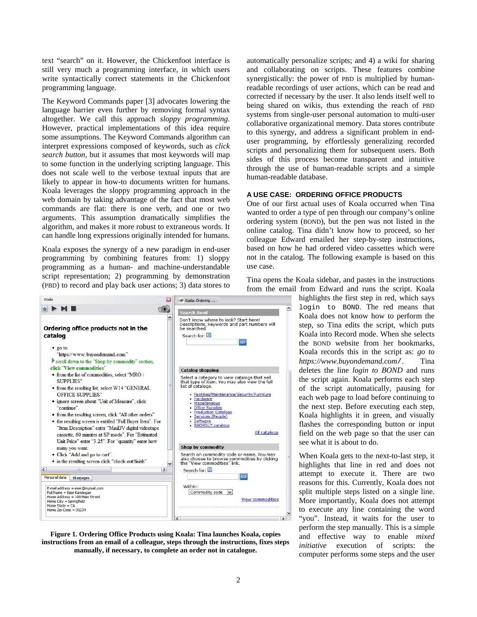text "search" on it. However, the Chickenfoot interface is still very much a programming interface, in which users write syntactically correct statements in the Chickenfoot programming language.

The Keyword Commands paper [3] advocates lowering the language barrier even further by removing formal syntax altogether. We call this approach *sloppy programming*. However, practical implementations of this idea require some assumptions. The Keyword Commands algorithm can interpret expressions composed of keywords, such as *click search button*, but it assumes that most keywords will map to some function in the underlying scripting language. This does not scale well to the verbose textual inputs that are likely to appear in how-to documents written for humans. Koala leverages the sloppy programming approach in the web domain by taking advantage of the fact that most web commands are flat: there is one verb, and one or two arguments. This assumption dramatically simplifies the algorithm, and makes it more robust to extraneous words. It can handle long expressions originally intended for humans.

Koala exposes the synergy of a new paradigm in end-user programming by combining features from: 1) sloppy programming as a human- and machine-understandable script representation; 2) programming by demonstration (PBD) to record and play back user actions; 3) data stores to





automatically personalize scripts; and 4) a wiki for sharing and collaborating on scripts. These features combine synergistically: the power of PBD is multiplied by humanreadable recordings of user actions, which can be read and corrected if necessary by the user. It also lends itself well to being shared on wikis, thus extending the reach of PBD systems from single-user personal automation to multi-user collaborative organizational memory. Data stores contribute to this synergy, and address a significant problem in enduser programming, by effortlessly generalizing recorded scripts and personalizing them for subsequent users. Both sides of this process become transparent and intuitive through the use of human-readable scripts and a simple human-readable database.

## **A USE CASE: ORDERING OFFICE PRODUCTS**

One of our first actual uses of Koala occurred when Tina wanted to order a type of pen through our company's online ordering system (BOND), but the pen was not listed in the online catalog. Tina didn't know how to proceed, so her colleague Edward emailed her step-by-step instructions, based on how he had ordered video cassettes which were not in the catalog. The following example is based on this use case.

Tina opens the Koala sidebar, and pastes in the instructions from the email from Edward and runs the script. Koala

> highlights the first step in red, which says login to BOND. The red means that Koala does not know how to perform the step, so Tina edits the script, which puts Koala into Record mode. When she selects the BOND website from her bookmarks, Koala records this in the script as: *go to https://www.buyondemand.com*/. Tina deletes the line *login to BOND* and runs the script again. Koala performs each step of the script automatically, pausing for each web page to load before continuing to the next step. Before executing each step, Koala highlights it in green, and visually flashes the corresponding button or input field on the web page so that the user can see what it is about to do.

> When Koala gets to the next-to-last step, it highlights that line in red and does not attempt to execute it. There are two reasons for this. Currently, Koala does not split multiple steps listed on a single line. More importantly, Koala does not attempt to execute any line containing the word "you". Instead, it waits for the user to perform the step manually. This is a simple and effective way to enable *mixed initiative* execution of scripts: the computer performs some steps and the user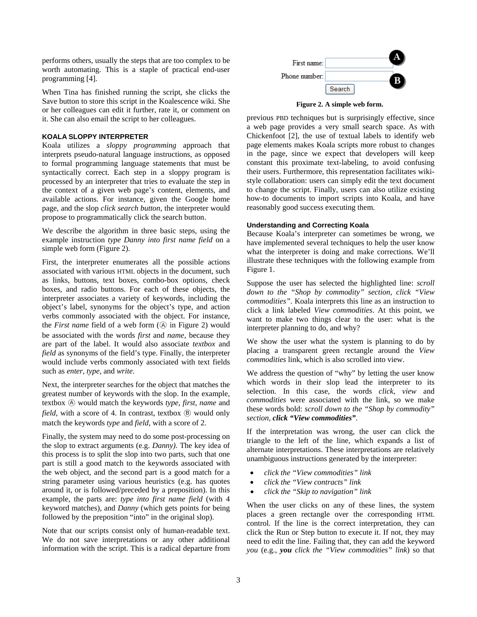performs others, usually the steps that are too complex to be worth automating. This is a staple of practical end-user programming [4].

When Tina has finished running the script, she clicks the Save button to store this script in the Koalescence wiki. She or her colleagues can edit it further, rate it, or comment on it. She can also email the script to her colleagues.

## **KOALA SLOPPY INTERPRETER**

Koala utilizes a *sloppy programming* approach that interprets pseudo-natural language instructions, as opposed to formal programming language statements that must be syntactically correct. Each step in a sloppy program is processed by an interpreter that tries to evaluate the step in the context of a given web page's content, elements, and available actions. For instance, given the Google home page, and the slop *click search button,* the interpreter would propose to programmatically click the search button.

We describe the algorithm in three basic steps, using the example instruction *type Danny into first name field* on a simple web form (Figure 2).

First, the interpreter enumerates all the possible actions associated with various HTML objects in the document, such as links, buttons, text boxes, combo-box options, check boxes, and radio buttons. For each of these objects, the interpreter associates a variety of keywords, including the object's label, synonyms for the object's type, and action verbs commonly associated with the object. For instance, the *First name* field of a web form ( $\circledA$  in Figure 2) would be associated with the words *first* and *name*, because they are part of the label. It would also associate *textbox* and *field* as synonyms of the field's type. Finally, the interpreter would include verbs commonly associated with text fields such as *enter*, *type*, and *write*.

Next, the interpreter searches for the object that matches the greatest number of keywords with the slop. In the example, textbox  $\widehat{A}$  would match the keywords *type*, *first*, *name* and *field*, with a score of 4. In contrast, textbox  $\circledB$  would only match the keywords *type* and *field*, with a score of 2.

Finally, the system may need to do some post-processing on the slop to extract arguments (e.g. *Danny)*. The key idea of this process is to split the slop into two parts, such that one part is still a good match to the keywords associated with the web object, and the second part is a good match for a string parameter using various heuristics (e.g. has quotes around it, or is followed/preceded by a preposition). In this example, the parts are: *type into first name field* (with 4 keyword matches), and *Danny* (which gets points for being followed by the preposition "into" in the original slop).

Note that our scripts consist only of human-readable text. We do not save interpretations or any other additional information with the script. This is a radical departure from



**Figure 2. A simple web form.** 

previous PBD techniques but is surprisingly effective, since a web page provides a very small search space. As with Chickenfoot [2], the use of textual labels to identify web page elements makes Koala scripts more robust to changes in the page, since we expect that developers will keep constant this proximate text-labeling, to avoid confusing their users. Furthermore, this representation facilitates wikistyle collaboration: users can simply edit the text document to change the script. Finally, users can also utilize existing how-to documents to import scripts into Koala, and have reasonably good success executing them.

#### **Understanding and Correcting Koala**

Because Koala's interpreter can sometimes be wrong, we have implemented several techniques to help the user know what the interpreter is doing and make corrections. We'll illustrate these techniques with the following example from Figure 1.

Suppose the user has selected the highlighted line: *scroll down to the "Shop by commodity" section, click "View commodities"*. Koala interprets this line as an instruction to click a link labeled *View commodities*. At this point, we want to make two things clear to the user: what is the interpreter planning to do, and why?

We show the user what the system is planning to do by placing a transparent green rectangle around the *View commodities* link, which is also scrolled into view.

We address the question of "why" by letting the user know which words in their slop lead the interpreter to its selection. In this case, the words *click*, *view* and *commodities* were associated with the link, so we make these words bold: *scroll down to the "Shop by commodity" section, click "View commodities"*.

If the interpretation was wrong, the user can click the triangle to the left of the line, which expands a list of alternate interpretations. These interpretations are relatively unambiguous instructions generated by the interpreter:

- *click the "View commodities" link*
- *click the "View contracts" link*
- *click the "Skip to navigation" link*

When the user clicks on any of these lines, the system places a green rectangle over the corresponding HTML control. If the line is the correct interpretation, they can click the Run or Step button to execute it. If not, they may need to edit the line. Failing that, they can add the keyword *you* (e.g., *you click the "View commodities" link*) so that